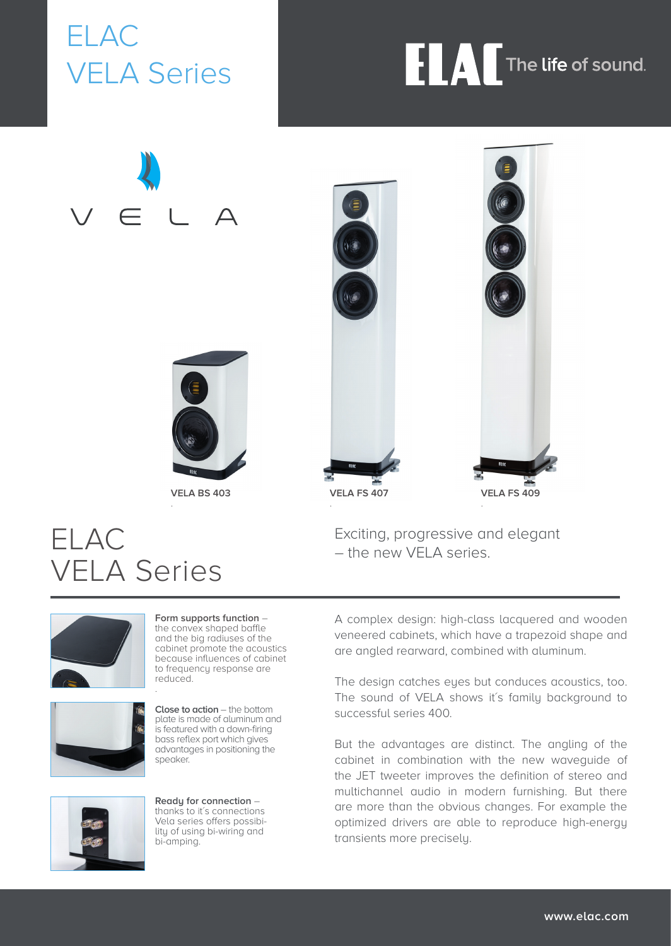ELAC VELA Series

## **FLAC** The life of sound.

# $\Delta$



**VELA BS 403** .



Exciting, progressive and elegant – the new VELA series.

### ELAC VELA Series

.





**Form supports function** – the convex shaped baffle and the big radiuses of the cabinet promote the acoustics because influences of cabinet to frequency response are reduced.

**Close to action** – the bottom plate is made of aluminum and is featured with a down-firing bass reflex port which gives advantages in positioning the speaker.



**Ready for connection** – thanks to it's connections Vela series offers possibility of using bi-wiring and bi-amping.

A complex design: high-class lacquered and wooden veneered cabinets, which have a trapezoid shape and are angled rearward, combined with aluminum.

The design catches eyes but conduces acoustics, too. The sound of VELA shows it's family background to successful series 400.

But the advantages are distinct. The angling of the cabinet in combination with the new waveguide of the JET tweeter improves the definition of stereo and multichannel audio in modern furnishing. But there are more than the obvious changes. For example the optimized drivers are able to reproduce high-energy transients more precisely.